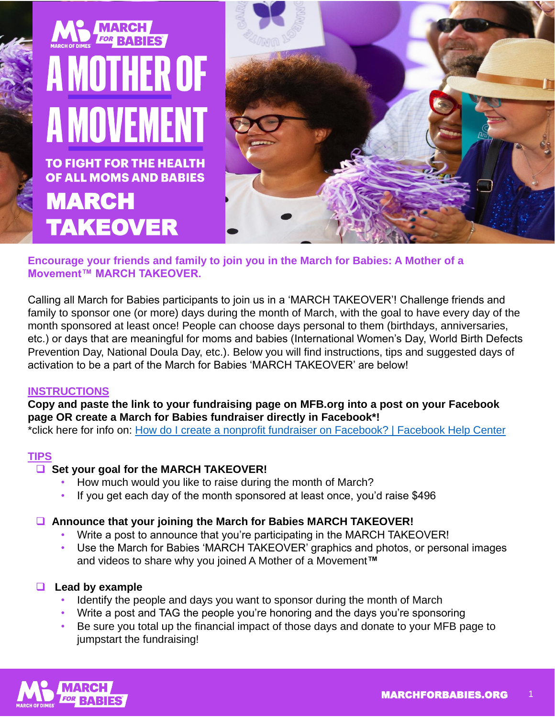

**Encourage your friends and family to join you in the March for Babies: A Mother of a Movement™ MARCH TAKEOVER.**

Calling all March for Babies participants to join us in a 'MARCH TAKEOVER'! Challenge friends and family to sponsor one (or more) days during the month of March, with the goal to have every day of the month sponsored at least once! People can choose days personal to them (birthdays, anniversaries, etc.) or days that are meaningful for moms and babies (International Women's Day, World Birth Defects Prevention Day, National Doula Day, etc.). Below you will find instructions, tips and suggested days of activation to be a part of the March for Babies 'MARCH TAKEOVER' are below!

## **INSTRUCTIONS**

**Copy and paste the link to your fundraising page on MFB.org into a post on your Facebook page OR create a March for Babies fundraiser directly in Facebook\*!**

\*click here for info on: [How do I create a nonprofit fundraiser on Facebook? | Facebook Help Center](https://nam02.safelinks.protection.outlook.com/?url=https%3A%2F%2Fwww.facebook.com%2Fhelp%2F990087377765844&data=04%7C01%7CLVargas%40marchofdimes.org%7C66207074b6d841aee1ba08d9f7169d98%7Cd04741962ae84e50ae987cce17178c10%7C0%7C0%7C637812498779513316%7CUnknown%7CTWFpbGZsb3d8eyJWIjoiMC4wLjAwMDAiLCJQIjoiV2luMzIiLCJBTiI6Ik1haWwiLCJXVCI6Mn0%3D%7C3000&sdata=frG9Lydqy8hvcI0LBGnjW08t0IXi8NOnU8aAJ6T%2FUyo%3D&reserved=0)

## **TIPS**

## □ Set your goal for the MARCH TAKEOVER!

- How much would you like to raise during the month of March?
- If you get each day of the month sponsored at least once, you'd raise \$496

## **Announce that your joining the March for Babies MARCH TAKEOVER!**

- Write a post to announce that you're participating in the MARCH TAKEOVER!
- Use the March for Babies 'MARCH TAKEOVER' graphics and photos, or personal images and videos to share why you joined A Mother of a Movement**™**

## **Lead by example**

- Identify the people and days you want to sponsor during the month of March
- Write a post and TAG the people you're honoring and the days you're sponsoring
- Be sure you total up the financial impact of those days and donate to your MFB page to jumpstart the fundraising!